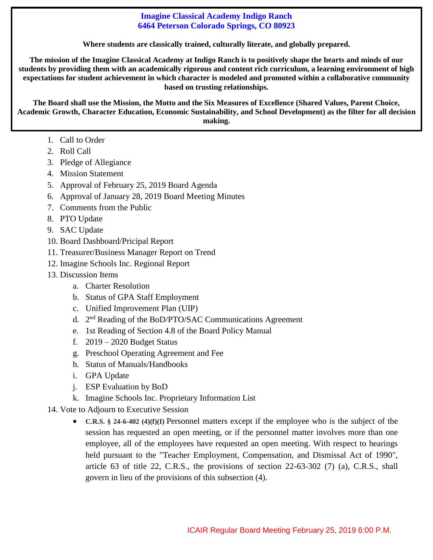**Where students are classically trained, culturally literate, and globally prepared.**

**The mission of the Imagine Classical Academy at Indigo Ranch is to positively shape the hearts and minds of our students by providing them with an academically rigorous and content rich curriculum, a learning environment of high expectations for student achievement in which character is modeled and promoted within a collaborative community based on trusting relationships.**

**The Board shall use the Mission, the Motto and the Six Measures of Excellence (Shared Values, Parent Choice, Academic Growth, Character Education, Economic Sustainability, and School Development) as the filter for all decision making.**

- 1. Call to Order
- 2. Roll Call
- 3. Pledge of Allegiance
- 4. Mission Statement
- 5. Approval of February 25, 2019 Board Agenda
- 6. Approval of January 28, 2019 Board Meeting Minutes
- 7. Comments from the Public
- 8. PTO Update
- 9. SAC Update
- 10. Board Dashboard/Pricipal Report
- 11. Treasurer/Business Manager Report on Trend
- 12. Imagine Schools Inc. Regional Report
- 13. Discussion Items
	- a. Charter Resolution
	- b. Status of GPA Staff Employment
	- c. Unified Improvement Plan (UIP)
	- d. 2<sup>nd</sup> Reading of the BoD/PTO/SAC Communications Agreement
	- e. 1st Reading of Section 4.8 of the Board Policy Manual
	- f. 2019 2020 Budget Status
	- g. Preschool Operating Agreement and Fee
	- h. Status of Manuals/Handbooks
	- i. GPA Update
	- j. ESP Evaluation by BoD
	- k. Imagine Schools Inc. Proprietary Information List
- 14. Vote to Adjourn to Executive Session
	- **C.R.S. § 24-6-402 (4)(f)(I)** Personnel matters except if the employee who is the subject of the session has requested an open meeting, or if the personnel matter involves more than one employee, all of the employees have requested an open meeting. With respect to hearings held pursuant to the "Teacher Employment, Compensation, and Dismissal Act of 1990", article 63 of title 22, C.R.S., the provisions of section 22-63-302 (7) (a), C.R.S., shall govern in lieu of the provisions of this subsection (4).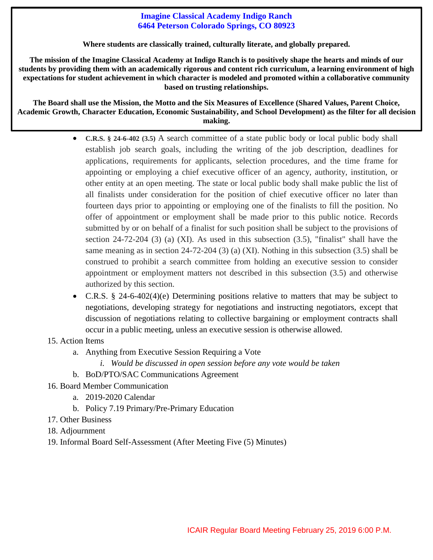**Where students are classically trained, culturally literate, and globally prepared.**

**The mission of the Imagine Classical Academy at Indigo Ranch is to positively shape the hearts and minds of our students by providing them with an academically rigorous and content rich curriculum, a learning environment of high expectations for student achievement in which character is modeled and promoted within a collaborative community based on trusting relationships.**

**The Board shall use the Mission, the Motto and the Six Measures of Excellence (Shared Values, Parent Choice, Academic Growth, Character Education, Economic Sustainability, and School Development) as the filter for all decision making.**

- **C.R.S. § 24-6-402 (3.5)** A search committee of a state public body or local public body shall establish job search goals, including the writing of the job description, deadlines for applications, requirements for applicants, selection procedures, and the time frame for appointing or employing a chief executive officer of an agency, authority, institution, or other entity at an open meeting. The state or local public body shall make public the list of all finalists under consideration for the position of chief executive officer no later than fourteen days prior to appointing or employing one of the finalists to fill the position. No offer of appointment or employment shall be made prior to this public notice. Records submitted by or on behalf of a finalist for such position shall be subject to the provisions of section 24-72-204 (3) (a) (XI). As used in this subsection (3.5), "finalist" shall have the same meaning as in section 24-72-204 (3) (a) (XI). Nothing in this subsection (3.5) shall be construed to prohibit a search committee from holding an executive session to consider appointment or employment matters not described in this subsection (3.5) and otherwise authorized by this section.
- C.R.S. § 24-6-402(4)(e) Determining positions relative to matters that may be subject to negotiations, developing strategy for negotiations and instructing negotiators, except that discussion of negotiations relating to collective bargaining or employment contracts shall occur in a public meeting, unless an executive session is otherwise allowed.
- 15. Action Items
	- a. Anything from Executive Session Requiring a Vote
		- *i. Would be discussed in open session before any vote would be taken*
	- b. BoD/PTO/SAC Communications Agreement
- 16. Board Member Communication
	- a. 2019-2020 Calendar
	- b. Policy 7.19 Primary/Pre-Primary Education
- 17. Other Business
- 18. Adjournment
- 19. Informal Board Self-Assessment (After Meeting Five (5) Minutes)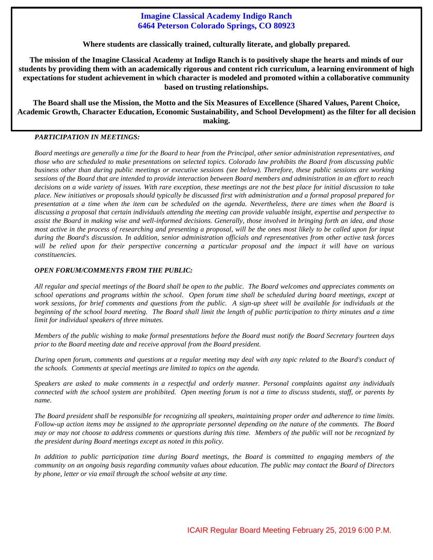**Where students are classically trained, culturally literate, and globally prepared.**

**The mission of the Imagine Classical Academy at Indigo Ranch is to positively shape the hearts and minds of our students by providing them with an academically rigorous and content rich curriculum, a learning environment of high expectations for student achievement in which character is modeled and promoted within a collaborative community based on trusting relationships.**

**The Board shall use the Mission, the Motto and the Six Measures of Excellence (Shared Values, Parent Choice, Academic Growth, Character Education, Economic Sustainability, and School Development) as the filter for all decision making.**

### *PARTICIPATION IN MEETINGS:*

*Board meetings are generally a time for the Board to hear from the Principal, other senior administration representatives, and those who are scheduled to make presentations on selected topics. Colorado law prohibits the Board from discussing public business other than during public meetings or executive sessions (see below). Therefore, these public sessions are working sessions of the Board that are intended to provide interaction between Board members and administration in an effort to reach decisions on a wide variety of issues. With rare exception, these meetings are not the best place for initial discussion to take place. New initiatives or proposals should typically be discussed first with administration and a formal proposal prepared for presentation at a time when the item can be scheduled on the agenda. Nevertheless, there are times when the Board is discussing a proposal that certain individuals attending the meeting can provide valuable insight, expertise and perspective to assist the Board in making wise and well-informed decisions. Generally, those involved in bringing forth an idea, and those most active in the process of researching and presenting a proposal, will be the ones most likely to be called upon for input during the Board's discussion. In addition, senior administration officials and representatives from other active task forces will be relied upon for their perspective concerning a particular proposal and the impact it will have on various constituencies.*

### *OPEN FORUM/COMMENTS FROM THE PUBLIC:*

*All regular and special meetings of the Board shall be open to the public. The Board welcomes and appreciates comments on school operations and programs within the school. Open forum time shall be scheduled during board meetings, except at work sessions, for brief comments and questions from the public. A sign-up sheet will be available for individuals at the beginning of the school board meeting. The Board shall limit the length of public participation to thirty minutes and a time limit for individual speakers of three minutes.* 

*Members of the public wishing to make formal presentations before the Board must notify the Board Secretary fourteen days prior to the Board meeting date and receive approval from the Board president.* 

*During open forum, comments and questions at a regular meeting may deal with any topic related to the Board's conduct of the schools. Comments at special meetings are limited to topics on the agenda.* 

*Speakers are asked to make comments in a respectful and orderly manner. Personal complaints against any individuals connected with the school system are prohibited. Open meeting forum is not a time to discuss students, staff, or parents by name.*

*The Board president shall be responsible for recognizing all speakers, maintaining proper order and adherence to time limits. Follow-up action items may be assigned to the appropriate personnel depending on the nature of the comments. The Board may or may not choose to address comments or questions during this time. Members of the public will not be recognized by the president during Board meetings except as noted in this policy.*

*In addition to public participation time during Board meetings, the Board is committed to engaging members of the community on an ongoing basis regarding community values about education. The public may contact the Board of Directors by phone, letter or via email through the school website at any time.*